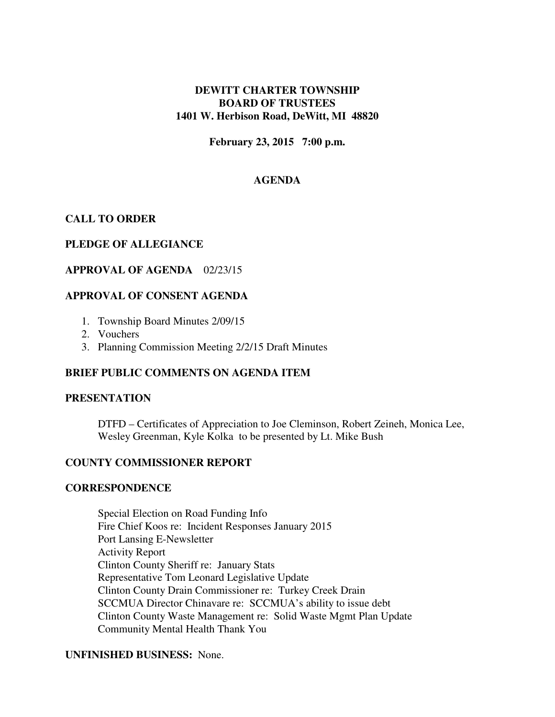### **DEWITT CHARTER TOWNSHIP BOARD OF TRUSTEES 1401 W. Herbison Road, DeWitt, MI 48820**

**February 23, 2015 7:00 p.m.** 

# **AGENDA**

# **CALL TO ORDER**

## **PLEDGE OF ALLEGIANCE**

## **APPROVAL OF AGENDA** 02/23/15

## **APPROVAL OF CONSENT AGENDA**

- 1. Township Board Minutes 2/09/15
- 2. Vouchers
- 3. Planning Commission Meeting 2/2/15 Draft Minutes

## **BRIEF PUBLIC COMMENTS ON AGENDA ITEM**

### **PRESENTATION**

 DTFD – Certificates of Appreciation to Joe Cleminson, Robert Zeineh, Monica Lee, Wesley Greenman, Kyle Kolka to be presented by Lt. Mike Bush

### **COUNTY COMMISSIONER REPORT**

### **CORRESPONDENCE**

Special Election on Road Funding Info Fire Chief Koos re: Incident Responses January 2015 Port Lansing E-Newsletter Activity Report Clinton County Sheriff re: January Stats Representative Tom Leonard Legislative Update Clinton County Drain Commissioner re: Turkey Creek Drain SCCMUA Director Chinavare re: SCCMUA's ability to issue debt Clinton County Waste Management re: Solid Waste Mgmt Plan Update Community Mental Health Thank You

## **UNFINISHED BUSINESS:** None.